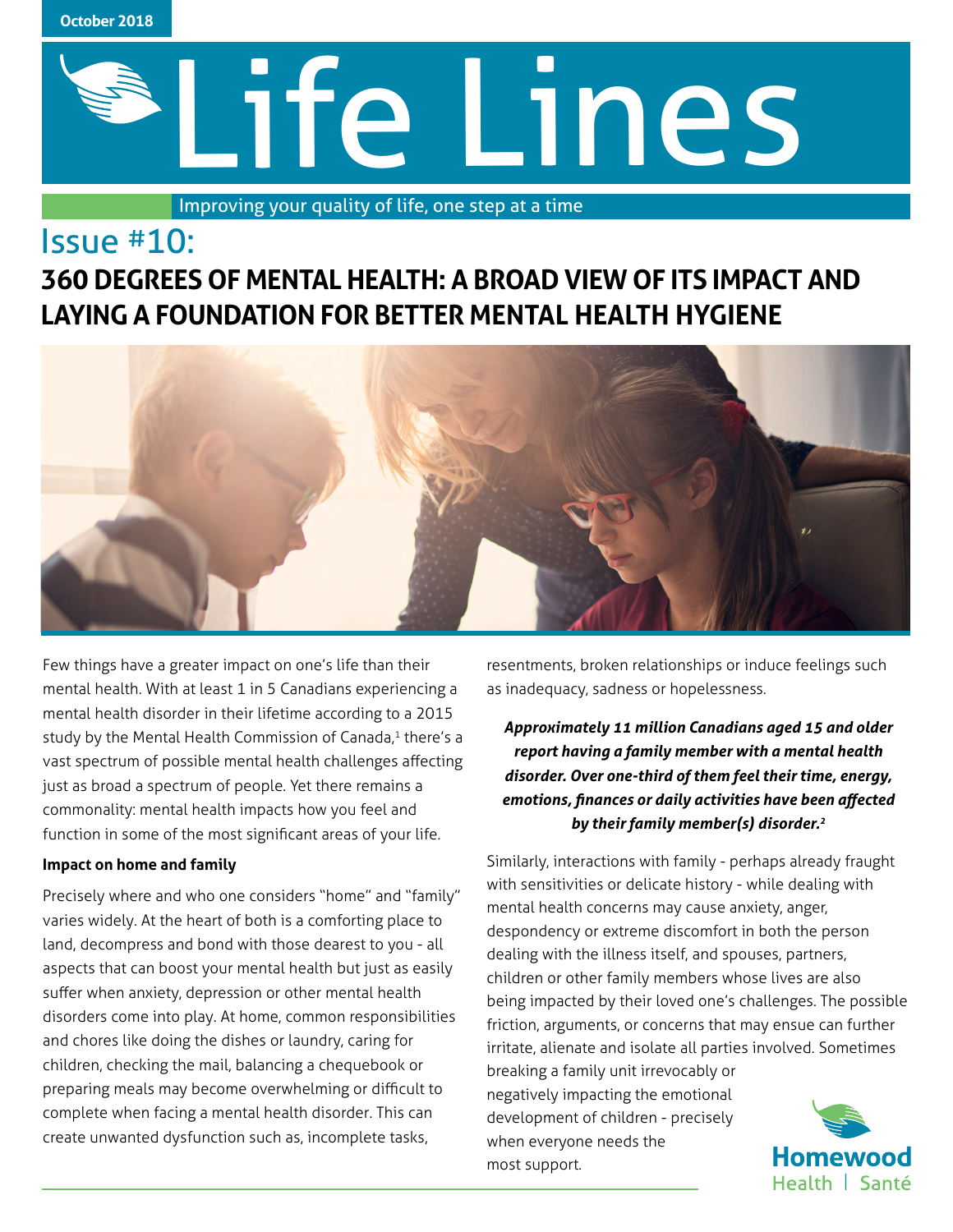

# Life Lines

Improving your quality of life, one step at a time

# Issue #10: **360 DEGREES OF MENTAL HEALTH: A BROAD VIEW OF ITS IMPACT AND LAYING A FOUNDATION FOR BETTER MENTAL HEALTH HYGIENE**



Few things have a greater impact on one's life than their mental health. With at least 1 in 5 Canadians experiencing a mental health disorder in their lifetime according to a 2015 study by the Mental Health Commission of Canada,<sup>1</sup> there's a vast spectrum of possible mental health challenges affecting just as broad a spectrum of people. Yet there remains a commonality: mental health impacts how you feel and function in some of the most significant areas of your life.

# **Impact on home and family**

Precisely where and who one considers "home" and "family" varies widely. At the heart of both is a comforting place to land, decompress and bond with those dearest to you - all aspects that can boost your mental health but just as easily suffer when anxiety, depression or other mental health disorders come into play. At home, common responsibilities and chores like doing the dishes or laundry, caring for children, checking the mail, balancing a chequebook or preparing meals may become overwhelming or difficult to complete when facing a mental health disorder. This can create unwanted dysfunction such as, incomplete tasks,

resentments, broken relationships or induce feelings such as inadequacy, sadness or hopelessness.

*Approximately 11 million Canadians aged 15 and older report having a family member with a mental health disorder. Over one-third of them feel their time, energy, emotions, finances or daily activities have been affected by their family member(s) disorder.2*

Similarly, interactions with family - perhaps already fraught with sensitivities or delicate history - while dealing with mental health concerns may cause anxiety, anger, despondency or extreme discomfort in both the person dealing with the illness itself, and spouses, partners, children or other family members whose lives are also being impacted by their loved one's challenges. The possible friction, arguments, or concerns that may ensue can further irritate, alienate and isolate all parties involved. Sometimes breaking a family unit irrevocably or

negatively impacting the emotional development of children - precisely when everyone needs the most support.

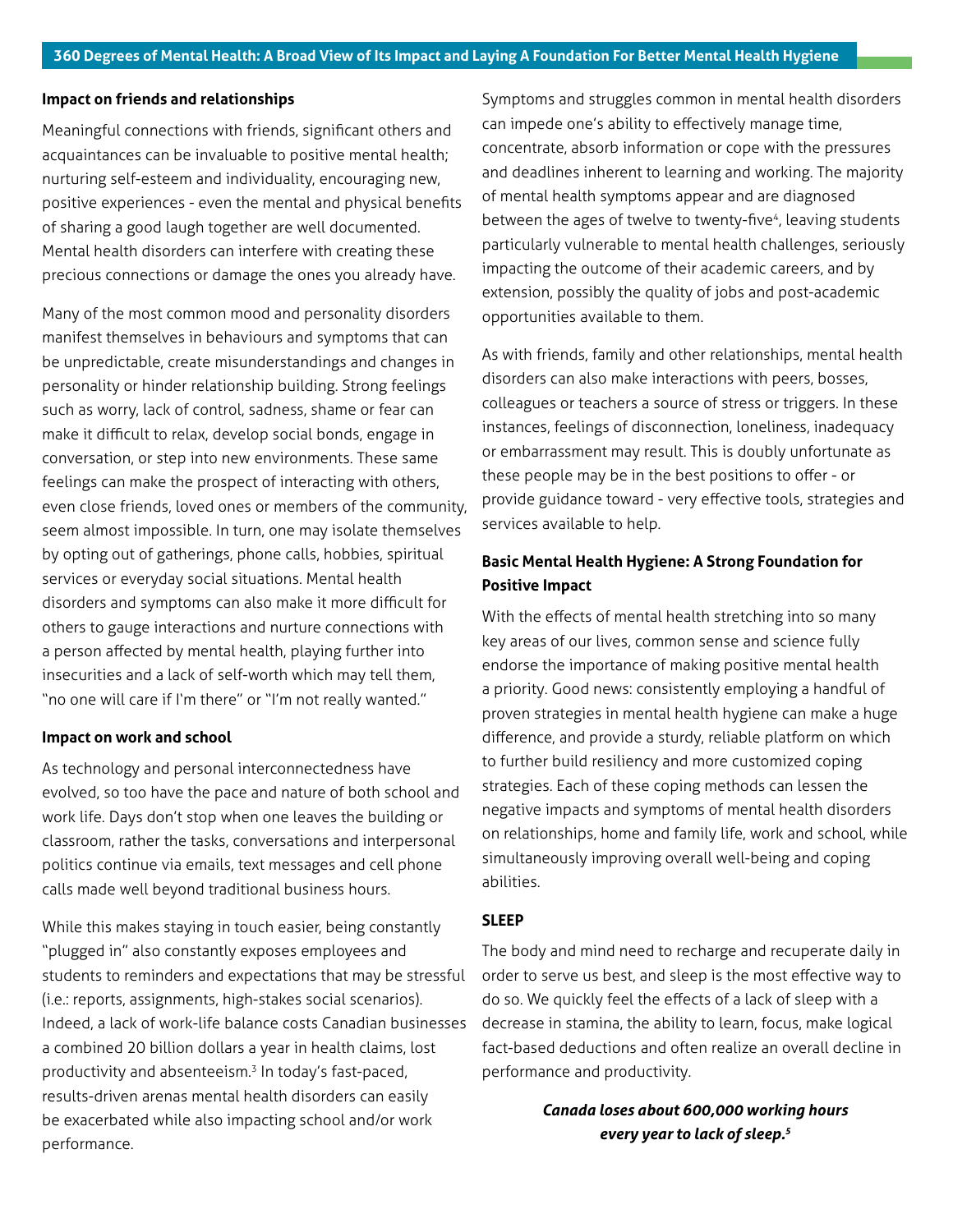## **Impact on friends and relationships**

Meaningful connections with friends, significant others and acquaintances can be invaluable to positive mental health; nurturing self-esteem and individuality, encouraging new, positive experiences - even the mental and physical benefits of sharing a good laugh together are well documented. Mental health disorders can interfere with creating these precious connections or damage the ones you already have.

Many of the most common mood and personality disorders manifest themselves in behaviours and symptoms that can be unpredictable, create misunderstandings and changes in personality or hinder relationship building. Strong feelings such as worry, lack of control, sadness, shame or fear can make it difficult to relax, develop social bonds, engage in conversation, or step into new environments. These same feelings can make the prospect of interacting with others, even close friends, loved ones or members of the community, seem almost impossible. In turn, one may isolate themselves by opting out of gatherings, phone calls, hobbies, spiritual services or everyday social situations. Mental health disorders and symptoms can also make it more difficult for others to gauge interactions and nurture connections with a person affected by mental health, playing further into insecurities and a lack of self-worth which may tell them, "no one will care if I'm there" or "I'm not really wanted."

#### **Impact on work and school**

As technology and personal interconnectedness have evolved, so too have the pace and nature of both school and work life. Days don't stop when one leaves the building or classroom, rather the tasks, conversations and interpersonal politics continue via emails, text messages and cell phone calls made well beyond traditional business hours.

While this makes staying in touch easier, being constantly "plugged in" also constantly exposes employees and students to reminders and expectations that may be stressful (i.e.: reports, assignments, high-stakes social scenarios). Indeed, a lack of work-life balance costs Canadian businesses a combined 20 billion dollars a year in health claims, lost productivity and absenteeism.3 In today's fast-paced, results-driven arenas mental health disorders can easily be exacerbated while also impacting school and/or work performance.

Symptoms and struggles common in mental health disorders can impede one's ability to effectively manage time, concentrate, absorb information or cope with the pressures and deadlines inherent to learning and working. The majority of mental health symptoms appear and are diagnosed between the ages of twelve to twenty-five<sup>4</sup>, leaving students particularly vulnerable to mental health challenges, seriously impacting the outcome of their academic careers, and by extension, possibly the quality of jobs and post-academic opportunities available to them.

As with friends, family and other relationships, mental health disorders can also make interactions with peers, bosses, colleagues or teachers a source of stress or triggers. In these instances, feelings of disconnection, loneliness, inadequacy or embarrassment may result. This is doubly unfortunate as these people may be in the best positions to offer - or provide guidance toward - very effective tools, strategies and services available to help.

# **Basic Mental Health Hygiene: A Strong Foundation for Positive Impact**

With the effects of mental health stretching into so many key areas of our lives, common sense and science fully endorse the importance of making positive mental health a priority. Good news: consistently employing a handful of proven strategies in mental health hygiene can make a huge difference, and provide a sturdy, reliable platform on which to further build resiliency and more customized coping strategies. Each of these coping methods can lessen the negative impacts and symptoms of mental health disorders on relationships, home and family life, work and school, while simultaneously improving overall well-being and coping abilities.

## **SLEEP**

The body and mind need to recharge and recuperate daily in order to serve us best, and sleep is the most effective way to do so. We quickly feel the effects of a lack of sleep with a decrease in stamina, the ability to learn, focus, make logical fact-based deductions and often realize an overall decline in performance and productivity.

> *Canada loses about 600,000 working hours every year to lack of sleep.<sup>5</sup>*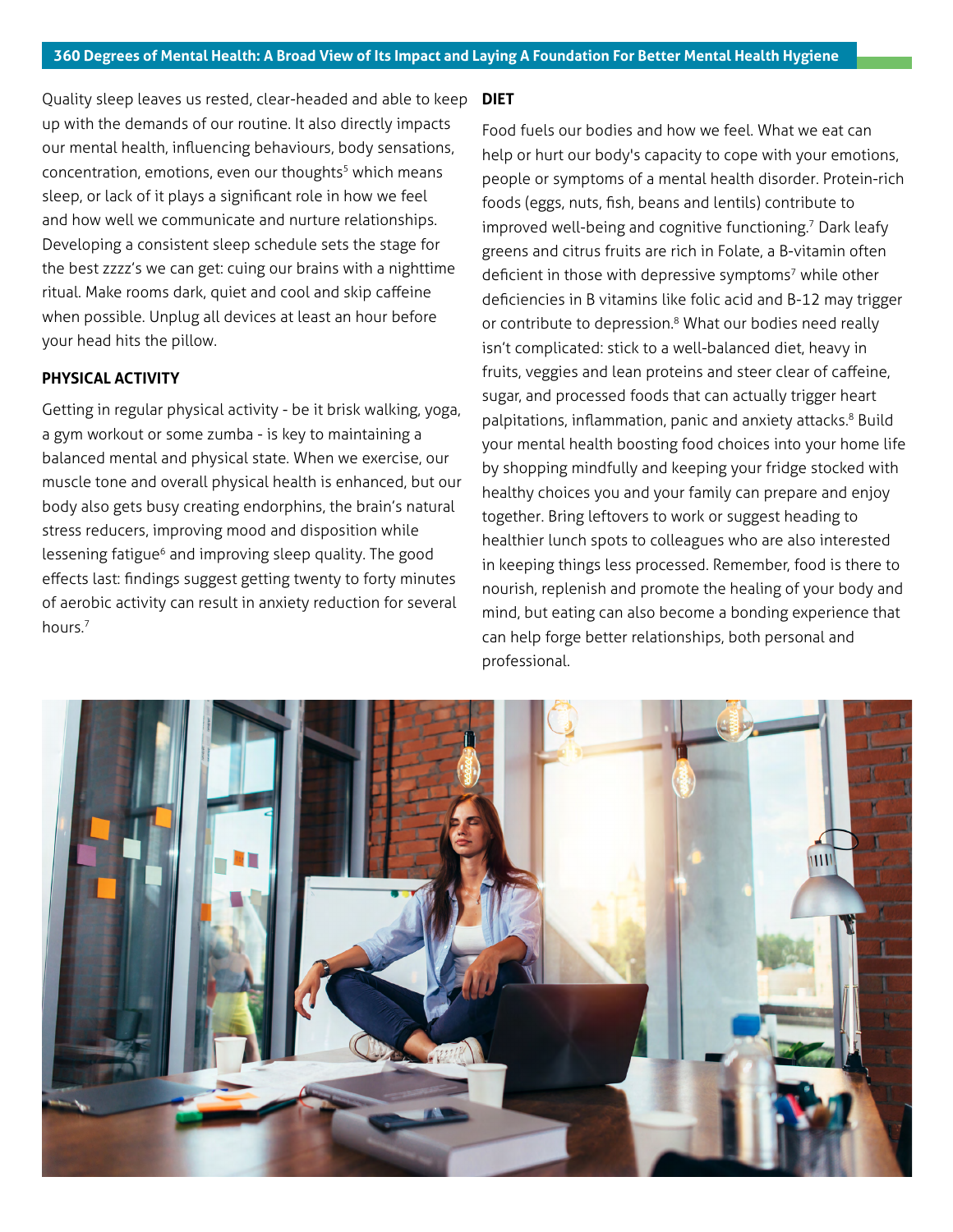Quality sleep leaves us rested, clear-headed and able to keep up with the demands of our routine. It also directly impacts our mental health, influencing behaviours, body sensations, concentration, emotions, even our thoughts<sup>5</sup> which means sleep, or lack of it plays a significant role in how we feel and how well we communicate and nurture relationships. Developing a consistent sleep schedule sets the stage for the best zzzz's we can get: cuing our brains with a nighttime ritual. Make rooms dark, quiet and cool and skip caffeine when possible. Unplug all devices at least an hour before your head hits the pillow.

# **PHYSICAL ACTIVITY**

Getting in regular physical activity - be it brisk walking, yoga, a gym workout or some zumba - is key to maintaining a balanced mental and physical state. When we exercise, our muscle tone and overall physical health is enhanced, but our body also gets busy creating endorphins, the brain's natural stress reducers, improving mood and disposition while lessening fatigue<sup>6</sup> and improving sleep quality. The good effects last: findings suggest getting twenty to forty minutes of aerobic activity can result in anxiety reduction for several hours.7

# **DIET**

Food fuels our bodies and how we feel. What we eat can help or hurt our body's capacity to cope with your emotions, people or symptoms of a mental health disorder. Protein-rich foods (eggs, nuts, fish, beans and lentils) contribute to improved well-being and cognitive functioning.<sup>7</sup> Dark leafy greens and citrus fruits are rich in Folate, a B-vitamin often deficient in those with depressive symptoms<sup>7</sup> while other deficiencies in B vitamins like folic acid and B-12 may trigger or contribute to depression.<sup>8</sup> What our bodies need really isn't complicated: stick to a well-balanced diet, heavy in fruits, veggies and lean proteins and steer clear of caffeine, sugar, and processed foods that can actually trigger heart palpitations, inflammation, panic and anxiety attacks.<sup>8</sup> Build your mental health boosting food choices into your home life by shopping mindfully and keeping your fridge stocked with healthy choices you and your family can prepare and enjoy together. Bring leftovers to work or suggest heading to healthier lunch spots to colleagues who are also interested in keeping things less processed. Remember, food is there to nourish, replenish and promote the healing of your body and mind, but eating can also become a bonding experience that can help forge better relationships, both personal and professional.